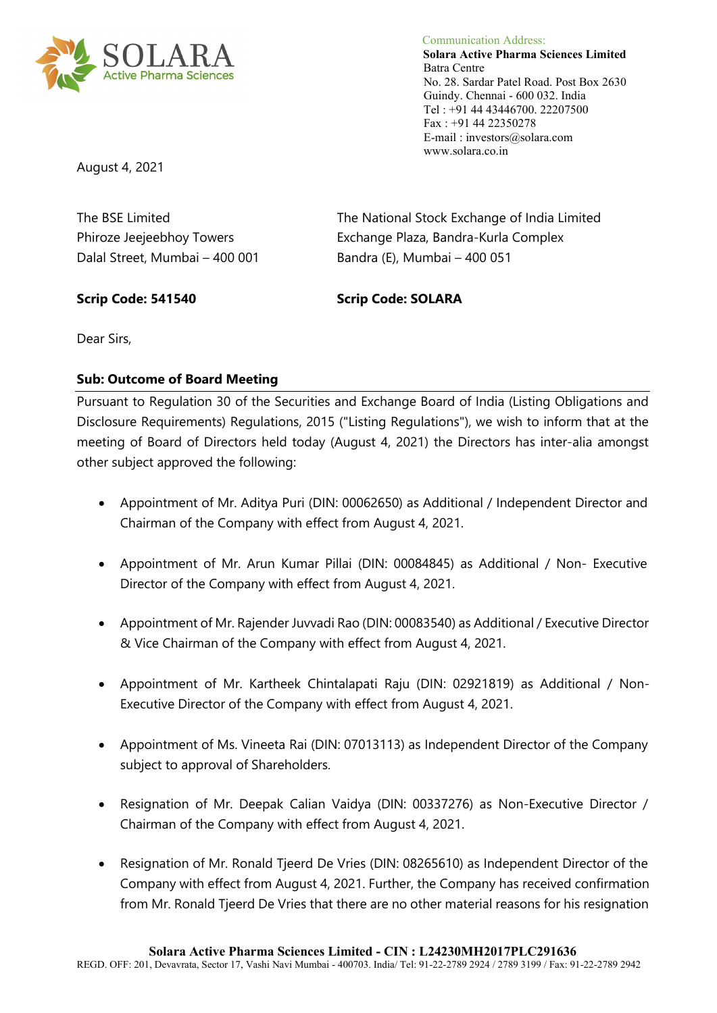

 Communication Address: **Solara Active Pharma Sciences Limited** Batra Centre No. 28. Sardar Patel Road. Post Box 2630 Guindy. Chennai - 600 032. India Tel : +91 44 43446700. 22207500 Fax : +91 44 22350278 E-mail : investors@solara.com www.solara.co.in

August 4, 2021

Dalal Street, Mumbai – 400 001 Bandra (E), Mumbai – 400 051

The BSE Limited The National Stock Exchange of India Limited Phiroze Jeejeebhoy Towers Exchange Plaza, Bandra-Kurla Complex

## **Scrip Code: 541540 Scrip Code: SOLARA**

Dear Sirs,

### **Sub: Outcome of Board Meeting**

Pursuant to Regulation 30 of the Securities and Exchange Board of India (Listing Obligations and Disclosure Requirements) Regulations, 2015 ("Listing Regulations"), we wish to inform that at the meeting of Board of Directors held today (August 4, 2021) the Directors has inter-alia amongst other subject approved the following:

- Appointment of Mr. Aditya Puri (DIN: 00062650) as Additional / Independent Director and Chairman of the Company with effect from August 4, 2021.
- Appointment of Mr. Arun Kumar Pillai (DIN: 00084845) as Additional / Non- Executive Director of the Company with effect from August 4, 2021.
- Appointment of Mr. Rajender Juvvadi Rao (DIN: 00083540) as Additional / Executive Director & Vice Chairman of the Company with effect from August 4, 2021.
- Appointment of Mr. Kartheek Chintalapati Raju (DIN: 02921819) as Additional / Non-Executive Director of the Company with effect from August 4, 2021.
- Appointment of Ms. Vineeta Rai (DIN: 07013113) as Independent Director of the Company subject to approval of Shareholders.
- Resignation of Mr. Deepak Calian Vaidya (DIN: 00337276) as Non-Executive Director / Chairman of the Company with effect from August 4, 2021.
- Resignation of Mr. Ronald Tieerd De Vries (DIN: 08265610) as Independent Director of the Company with effect from August 4, 2021. Further, the Company has received confirmation from Mr. Ronald Tjeerd De Vries that there are no other material reasons for his resignation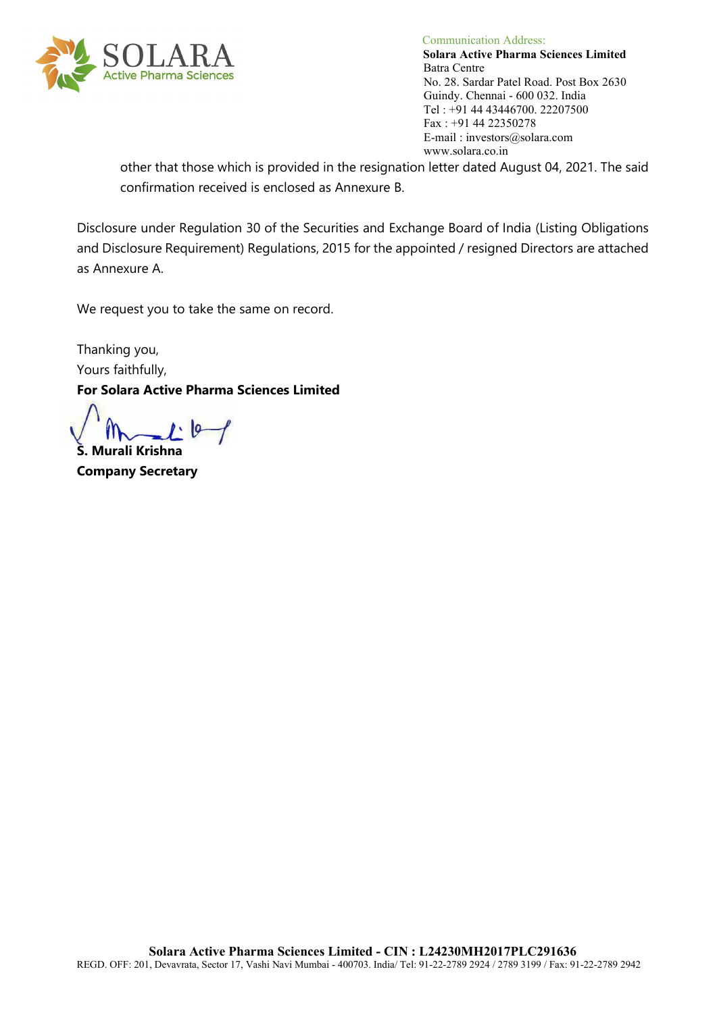

 Communication Address: **Solara Active Pharma Sciences Limited** No. 28. Sardar Patel Road. Post Box 2630 Guindy. Chennai - 600 032. India Tel : +91 44 43446700. 22207500 Fax : +91 44 22350278 E-mail : investors@solara.com www.solara.co.in

other that those which is provided in the resignation letter dated August 04, 2021. The said confirmation received is enclosed as Annexure B.

Disclosure under Regulation 30 of the Securities and Exchange Board of India (Listing Obligations and Disclosure Requirement) Regulations, 2015 for the appointed / resigned Directors are attached as Annexure A.

We request you to take the same on record.

Thanking you, Yours faithfully,

**For Solara Active Pharma Sciences Limited**

 $1.10$ **S. Murali Krishna**

**Company Secretary**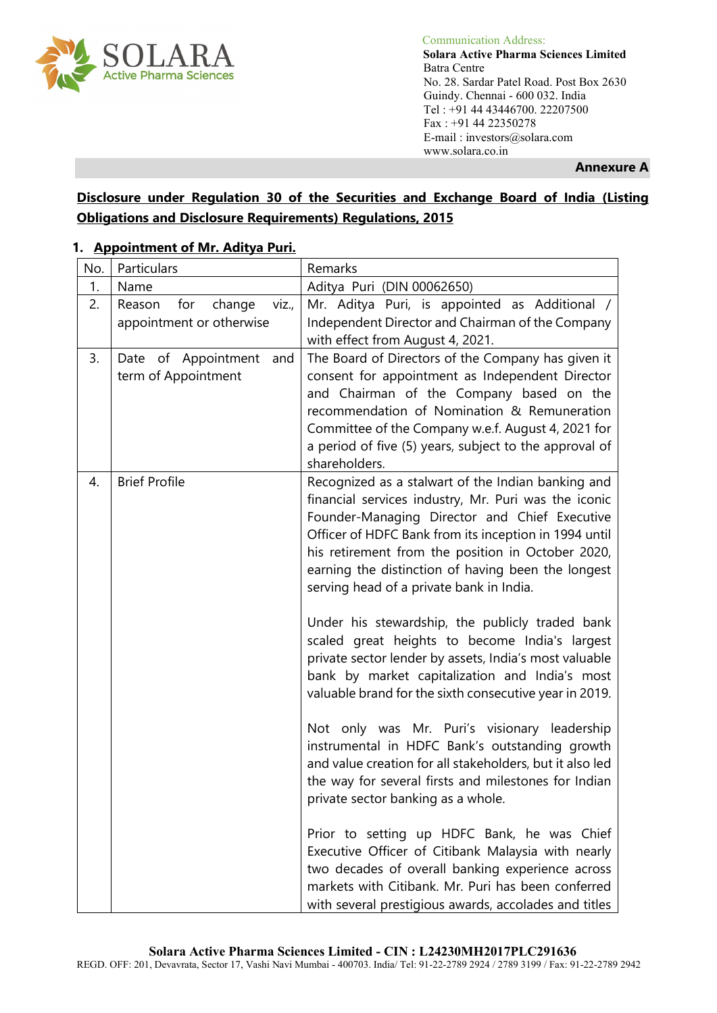

 Communication Address: **Solara Active Pharma Sciences Limited** No. 28. Sardar Patel Road. Post Box 2630 Guindy. Chennai - 600 032. India Tel : +91 44 43446700. 22207500 Fax : +91 44 22350278 E-mail : investors@solara.com www.solara.co.in

**Annexure A**

## **Disclosure under Regulation 30 of the Securities and Exchange Board of India (Listing Obligations and Disclosure Requirements) Regulations, 2015**

### **1. Appointment of Mr. Aditya Puri.**

| No. | Particulars                      | Remarks                                                                                                    |
|-----|----------------------------------|------------------------------------------------------------------------------------------------------------|
| 1.  | Name                             | Aditya Puri (DIN 00062650)                                                                                 |
| 2.  | Reason<br>for<br>change<br>viz., | Mr. Aditya Puri, is appointed as Additional /                                                              |
|     | appointment or otherwise         | Independent Director and Chairman of the Company                                                           |
|     |                                  | with effect from August 4, 2021.                                                                           |
| 3.  | Date of Appointment<br>and       | The Board of Directors of the Company has given it                                                         |
|     | term of Appointment              | consent for appointment as Independent Director                                                            |
|     |                                  | and Chairman of the Company based on the<br>recommendation of Nomination & Remuneration                    |
|     |                                  | Committee of the Company w.e.f. August 4, 2021 for                                                         |
|     |                                  | a period of five (5) years, subject to the approval of                                                     |
|     |                                  | shareholders.                                                                                              |
| 4.  | <b>Brief Profile</b>             | Recognized as a stalwart of the Indian banking and                                                         |
|     |                                  | financial services industry, Mr. Puri was the iconic                                                       |
|     |                                  | Founder-Managing Director and Chief Executive                                                              |
|     |                                  | Officer of HDFC Bank from its inception in 1994 until                                                      |
|     |                                  | his retirement from the position in October 2020,                                                          |
|     |                                  | earning the distinction of having been the longest                                                         |
|     |                                  | serving head of a private bank in India.                                                                   |
|     |                                  | Under his stewardship, the publicly traded bank                                                            |
|     |                                  | scaled great heights to become India's largest<br>private sector lender by assets, India's most valuable   |
|     |                                  | bank by market capitalization and India's most                                                             |
|     |                                  | valuable brand for the sixth consecutive year in 2019.                                                     |
|     |                                  |                                                                                                            |
|     |                                  | Not only was Mr. Puri's visionary leadership                                                               |
|     |                                  | instrumental in HDFC Bank's outstanding growth<br>and value creation for all stakeholders, but it also led |
|     |                                  | the way for several firsts and milestones for Indian                                                       |
|     |                                  | private sector banking as a whole.                                                                         |
|     |                                  |                                                                                                            |
|     |                                  | Prior to setting up HDFC Bank, he was Chief                                                                |
|     |                                  | Executive Officer of Citibank Malaysia with nearly                                                         |
|     |                                  | two decades of overall banking experience across                                                           |
|     |                                  | markets with Citibank. Mr. Puri has been conferred                                                         |
|     |                                  | with several prestigious awards, accolades and titles                                                      |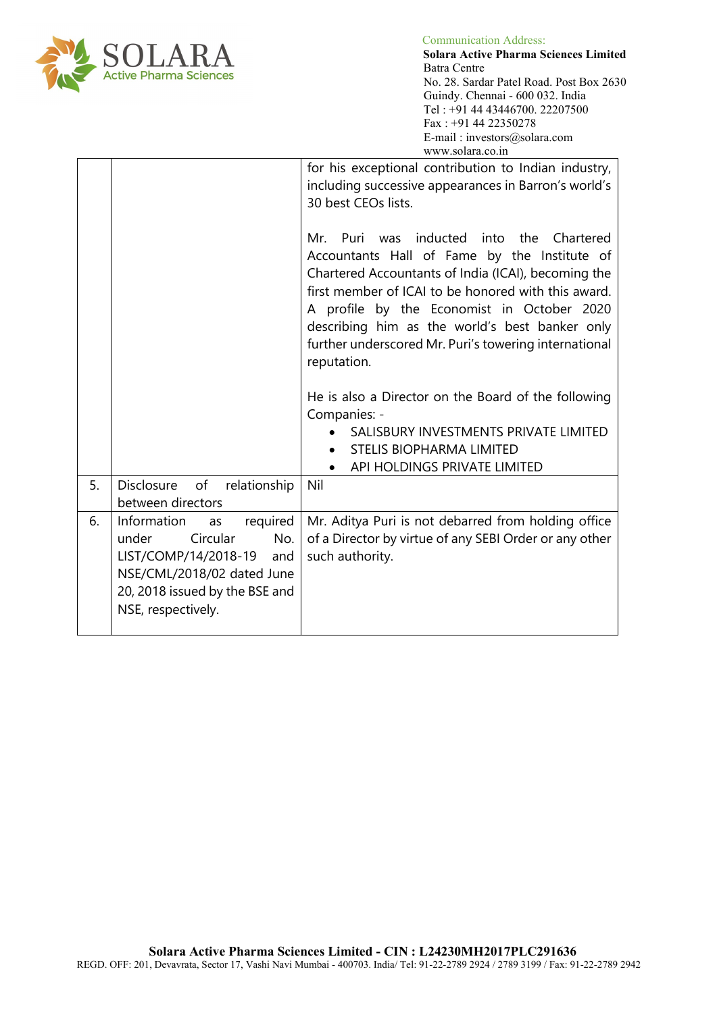

 $\sum_{\text{nonlattice Adness}}$  Solara Active Pharma Solara Active Pharma Solara Active Pharma Solara Active Pharma Solara Active Pharma Solara Active Pharma Solara Active Pharma Solara Active Pharma Solara Active Pharma Solara Active Pha **Solara Active Pharma Sciences Limited** No. 28. Sardar Patel Road. Post Box 2630 Guindy. Chennai - 600 032. India Tel : +91 44 43446700. 22207500 Fax : +91 44 22350278 E-mail : investors@solara.com www.solara.co.in

|    |                                                                                                                                                                             | for his exceptional contribution to Indian industry,<br>including successive appearances in Barron's world's<br>30 best CEOs lists.                                                                                                                                                                                                                                            |
|----|-----------------------------------------------------------------------------------------------------------------------------------------------------------------------------|--------------------------------------------------------------------------------------------------------------------------------------------------------------------------------------------------------------------------------------------------------------------------------------------------------------------------------------------------------------------------------|
|    |                                                                                                                                                                             | Mr. Puri was inducted into the Chartered<br>Accountants Hall of Fame by the Institute of<br>Chartered Accountants of India (ICAI), becoming the<br>first member of ICAI to be honored with this award.<br>A profile by the Economist in October 2020<br>describing him as the world's best banker only<br>further underscored Mr. Puri's towering international<br>reputation. |
|    |                                                                                                                                                                             | He is also a Director on the Board of the following<br>Companies: -<br>SALISBURY INVESTMENTS PRIVATE LIMITED<br><b>STELIS BIOPHARMA LIMITED</b><br>API HOLDINGS PRIVATE LIMITED                                                                                                                                                                                                |
| 5. | Disclosure of relationship<br>between directors                                                                                                                             | Nil                                                                                                                                                                                                                                                                                                                                                                            |
| 6. | required<br>Information<br>as<br>Circular<br>No.<br>under<br>LIST/COMP/14/2018-19 and<br>NSE/CML/2018/02 dated June<br>20, 2018 issued by the BSE and<br>NSE, respectively. | Mr. Aditya Puri is not debarred from holding office<br>of a Director by virtue of any SEBI Order or any other<br>such authority.                                                                                                                                                                                                                                               |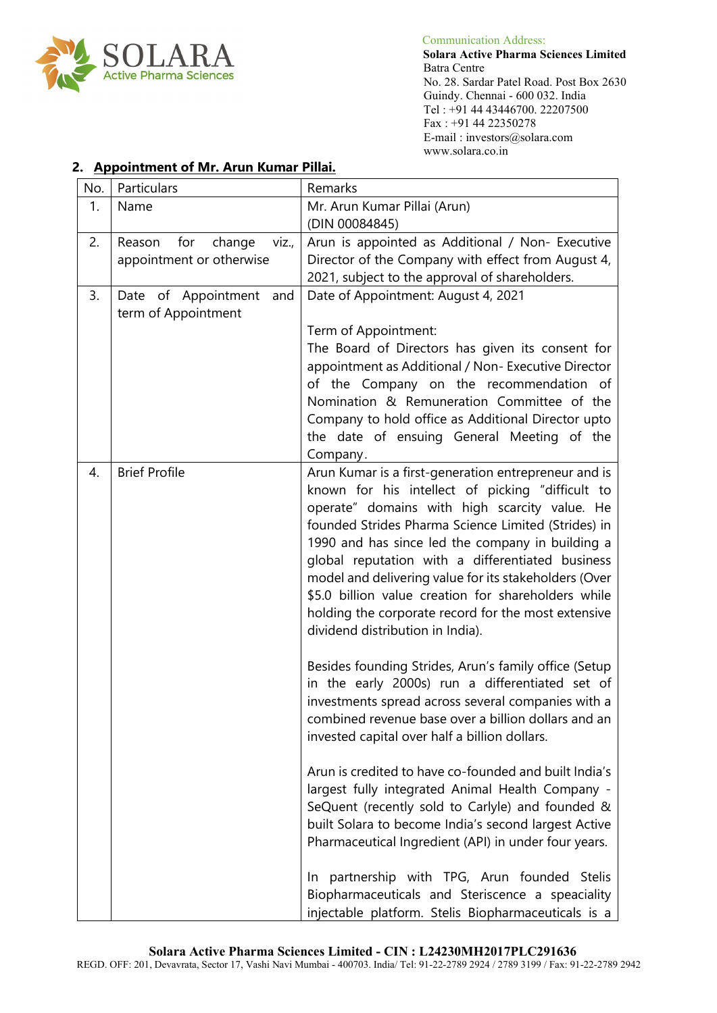

 **Solara Active Pharma Sciences Limited** No. 28. Sardar Patel Road. Post Box 2630 Guindy. Chennai - 600 032. India Tel : +91 44 43446700. 22207500 Fax : +91 44 22350278 E-mail : investors@solara.com www.solara.co.in

| No. | Particulars                                                  | Remarks                                                                                                                                                                                                                                                                                                                                                                                                                                                                                                                                                                                                                                                                                                                                                                                                       |
|-----|--------------------------------------------------------------|---------------------------------------------------------------------------------------------------------------------------------------------------------------------------------------------------------------------------------------------------------------------------------------------------------------------------------------------------------------------------------------------------------------------------------------------------------------------------------------------------------------------------------------------------------------------------------------------------------------------------------------------------------------------------------------------------------------------------------------------------------------------------------------------------------------|
| 1.  | Name                                                         | Mr. Arun Kumar Pillai (Arun)<br>(DIN 00084845)                                                                                                                                                                                                                                                                                                                                                                                                                                                                                                                                                                                                                                                                                                                                                                |
| 2.  | Reason<br>for<br>change<br>viz.,<br>appointment or otherwise | Arun is appointed as Additional / Non- Executive<br>Director of the Company with effect from August 4,<br>2021, subject to the approval of shareholders.                                                                                                                                                                                                                                                                                                                                                                                                                                                                                                                                                                                                                                                      |
| 3.  | Date of Appointment<br>and<br>term of Appointment            | Date of Appointment: August 4, 2021                                                                                                                                                                                                                                                                                                                                                                                                                                                                                                                                                                                                                                                                                                                                                                           |
|     |                                                              | Term of Appointment:<br>The Board of Directors has given its consent for<br>appointment as Additional / Non- Executive Director                                                                                                                                                                                                                                                                                                                                                                                                                                                                                                                                                                                                                                                                               |
|     |                                                              | of the Company on the recommendation of<br>Nomination & Remuneration Committee of the                                                                                                                                                                                                                                                                                                                                                                                                                                                                                                                                                                                                                                                                                                                         |
|     |                                                              | Company to hold office as Additional Director upto<br>the date of ensuing General Meeting of the<br>Company.                                                                                                                                                                                                                                                                                                                                                                                                                                                                                                                                                                                                                                                                                                  |
| 4.  | <b>Brief Profile</b>                                         | Arun Kumar is a first-generation entrepreneur and is<br>known for his intellect of picking "difficult to<br>operate" domains with high scarcity value. He<br>founded Strides Pharma Science Limited (Strides) in<br>1990 and has since led the company in building a<br>global reputation with a differentiated business<br>model and delivering value for its stakeholders (Over<br>\$5.0 billion value creation for shareholders while<br>holding the corporate record for the most extensive<br>dividend distribution in India).<br>Besides founding Strides, Arun's family office (Setup<br>in the early 2000s) run a differentiated set of<br>investments spread across several companies with a<br>combined revenue base over a billion dollars and an<br>invested capital over half a billion dollars. |
|     |                                                              | Arun is credited to have co-founded and built India's<br>largest fully integrated Animal Health Company -<br>SeQuent (recently sold to Carlyle) and founded &<br>built Solara to become India's second largest Active<br>Pharmaceutical Ingredient (API) in under four years.                                                                                                                                                                                                                                                                                                                                                                                                                                                                                                                                 |
|     |                                                              | In partnership with TPG, Arun founded Stelis<br>Biopharmaceuticals and Steriscence a speaciality<br>injectable platform. Stelis Biopharmaceuticals is a                                                                                                                                                                                                                                                                                                                                                                                                                                                                                                                                                                                                                                                       |

### **2. Appointment of Mr. Arun Kumar Pillai.**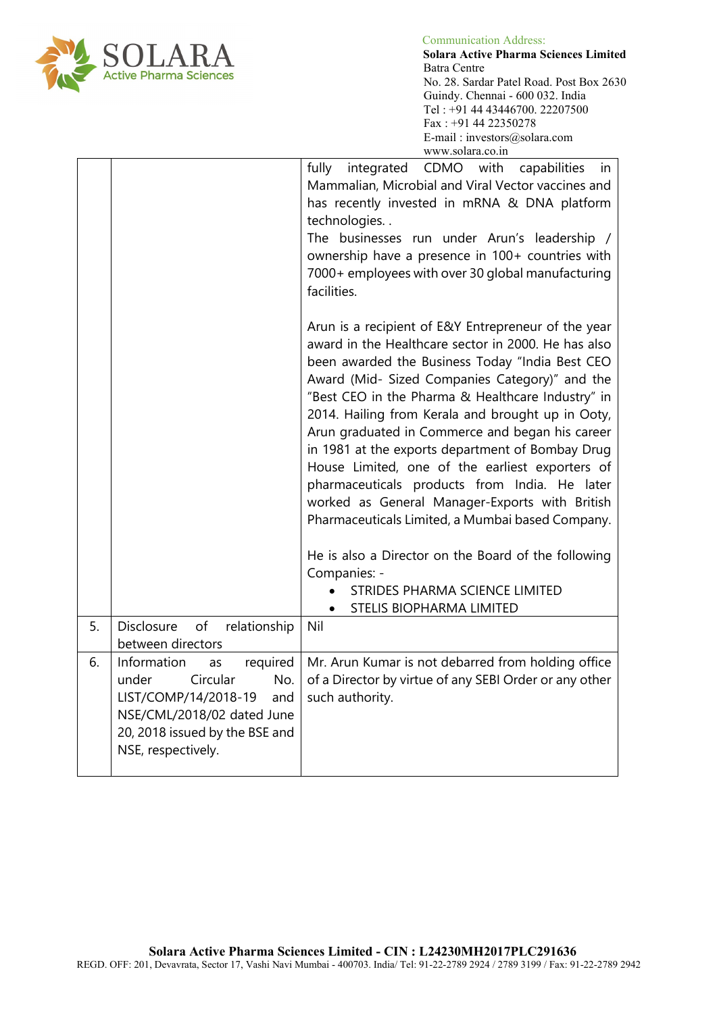

 $OLARA$  Communication Address:<br>Solara Active Pharma Se **Solara Active Pharma Sciences Limited** No. 28. Sardar Patel Road. Post Box 2630 Guindy. Chennai - 600 032. India Tel : +91 44 43446700. 22207500 Fax : +91 44 22350278 E-mail : investors@solara.com www.solara.co.in

|    |                                                                                                                                                                                | fully integrated<br>CDMO with<br>capabilities<br>in<br>Mammalian, Microbial and Viral Vector vaccines and<br>has recently invested in mRNA & DNA platform<br>technologies<br>The businesses run under Arun's leadership /<br>ownership have a presence in 100+ countries with<br>7000+ employees with over 30 global manufacturing                                                                                                                                                                                                                  |
|----|--------------------------------------------------------------------------------------------------------------------------------------------------------------------------------|-----------------------------------------------------------------------------------------------------------------------------------------------------------------------------------------------------------------------------------------------------------------------------------------------------------------------------------------------------------------------------------------------------------------------------------------------------------------------------------------------------------------------------------------------------|
|    |                                                                                                                                                                                | facilities.<br>Arun is a recipient of E&Y Entrepreneur of the year<br>award in the Healthcare sector in 2000. He has also<br>been awarded the Business Today "India Best CEO<br>Award (Mid- Sized Companies Category)" and the<br>"Best CEO in the Pharma & Healthcare Industry" in<br>2014. Hailing from Kerala and brought up in Ooty,<br>Arun graduated in Commerce and began his career<br>in 1981 at the exports department of Bombay Drug<br>House Limited, one of the earliest exporters of<br>pharmaceuticals products from India. He later |
|    |                                                                                                                                                                                | worked as General Manager-Exports with British<br>Pharmaceuticals Limited, a Mumbai based Company.<br>He is also a Director on the Board of the following                                                                                                                                                                                                                                                                                                                                                                                           |
|    |                                                                                                                                                                                | Companies: -<br>STRIDES PHARMA SCIENCE LIMITED<br>STELIS BIOPHARMA LIMITED<br>$\bullet$                                                                                                                                                                                                                                                                                                                                                                                                                                                             |
| 5. | Disclosure of<br>relationship<br>between directors                                                                                                                             | Nil                                                                                                                                                                                                                                                                                                                                                                                                                                                                                                                                                 |
| 6. | required<br>Information<br>as<br>Circular<br>under<br>No.<br>LIST/COMP/14/2018-19<br>and<br>NSE/CML/2018/02 dated June<br>20, 2018 issued by the BSE and<br>NSE, respectively. | Mr. Arun Kumar is not debarred from holding office<br>of a Director by virtue of any SEBI Order or any other<br>such authority.                                                                                                                                                                                                                                                                                                                                                                                                                     |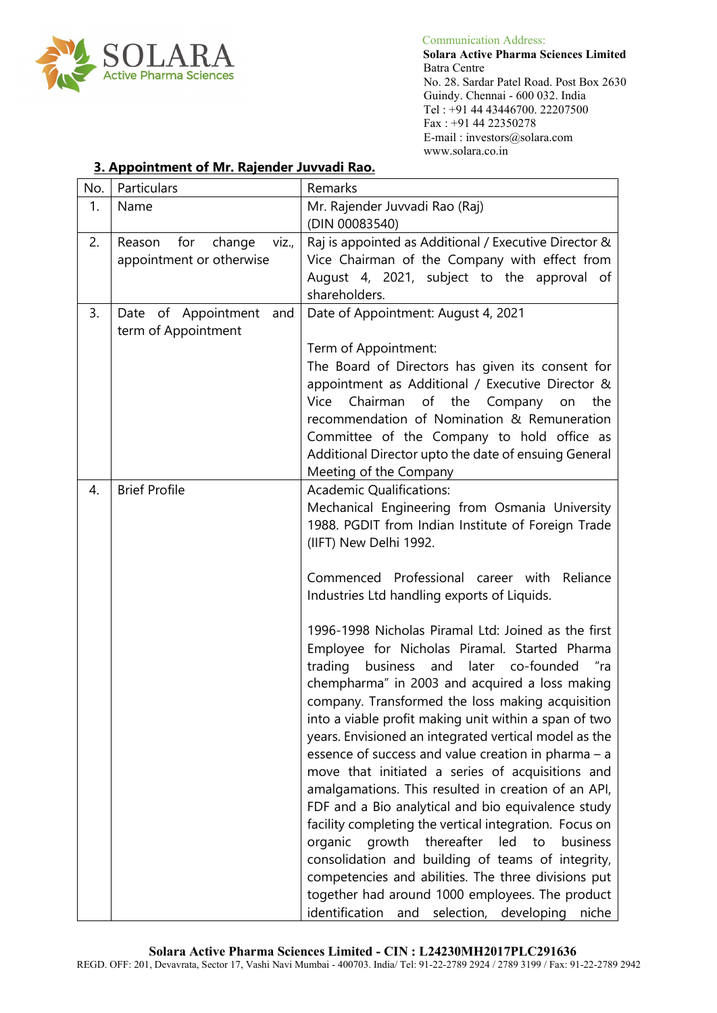

 **Solara Active Pharma Sciences Limited** No. 28. Sardar Patel Road. Post Box 2630 Guindy. Chennai - 600 032. India Tel : +91 44 43446700. 22207500 Fax : +91 44 22350278 E-mail : investors@solara.com www.solara.co.in

| No. | Particulars                                    | Remarks                                                 |
|-----|------------------------------------------------|---------------------------------------------------------|
| 1.  | Name                                           | Mr. Rajender Juvvadi Rao (Raj)                          |
|     |                                                | (DIN 00083540)                                          |
| 2.  | for<br>change<br>Reason<br>viz.,               | Raj is appointed as Additional / Executive Director &   |
|     | appointment or otherwise                       | Vice Chairman of the Company with effect from           |
|     |                                                | August 4, 2021, subject to the approval of              |
|     |                                                | shareholders.                                           |
| 3.  | Date of Appointment and<br>term of Appointment | Date of Appointment: August 4, 2021                     |
|     |                                                | Term of Appointment:                                    |
|     |                                                | The Board of Directors has given its consent for        |
|     |                                                | appointment as Additional / Executive Director &        |
|     |                                                | Vice Chairman of the Company on<br>the                  |
|     |                                                | recommendation of Nomination & Remuneration             |
|     |                                                | Committee of the Company to hold office as              |
|     |                                                | Additional Director upto the date of ensuing General    |
|     |                                                | Meeting of the Company                                  |
| 4.  | <b>Brief Profile</b>                           | <b>Academic Qualifications:</b>                         |
|     |                                                | Mechanical Engineering from Osmania University          |
|     |                                                | 1988. PGDIT from Indian Institute of Foreign Trade      |
|     |                                                | (IIFT) New Delhi 1992.                                  |
|     |                                                | Commenced Professional career with                      |
|     |                                                | Reliance<br>Industries Ltd handling exports of Liquids. |
|     |                                                |                                                         |
|     |                                                | 1996-1998 Nicholas Piramal Ltd: Joined as the first     |
|     |                                                | Employee for Nicholas Piramal. Started Pharma           |
|     |                                                | trading business and later co-founded<br>‴ra            |
|     |                                                | chempharma" in 2003 and acquired a loss making          |
|     |                                                | company. Transformed the loss making acquisition        |
|     |                                                | into a viable profit making unit within a span of two   |
|     |                                                | years. Envisioned an integrated vertical model as the   |
|     |                                                | essence of success and value creation in pharma - a     |
|     |                                                | move that initiated a series of acquisitions and        |
|     |                                                | amalgamations. This resulted in creation of an API,     |
|     |                                                | FDF and a Bio analytical and bio equivalence study      |
|     |                                                | facility completing the vertical integration. Focus on  |
|     |                                                | organic growth<br>thereafter led<br>to<br>business      |
|     |                                                | consolidation and building of teams of integrity,       |
|     |                                                | competencies and abilities. The three divisions put     |
|     |                                                | together had around 1000 employees. The product         |
|     |                                                | identification<br>selection, developing<br>and<br>niche |

## **3. Appointment of Mr. Rajender Juvvadi Rao.**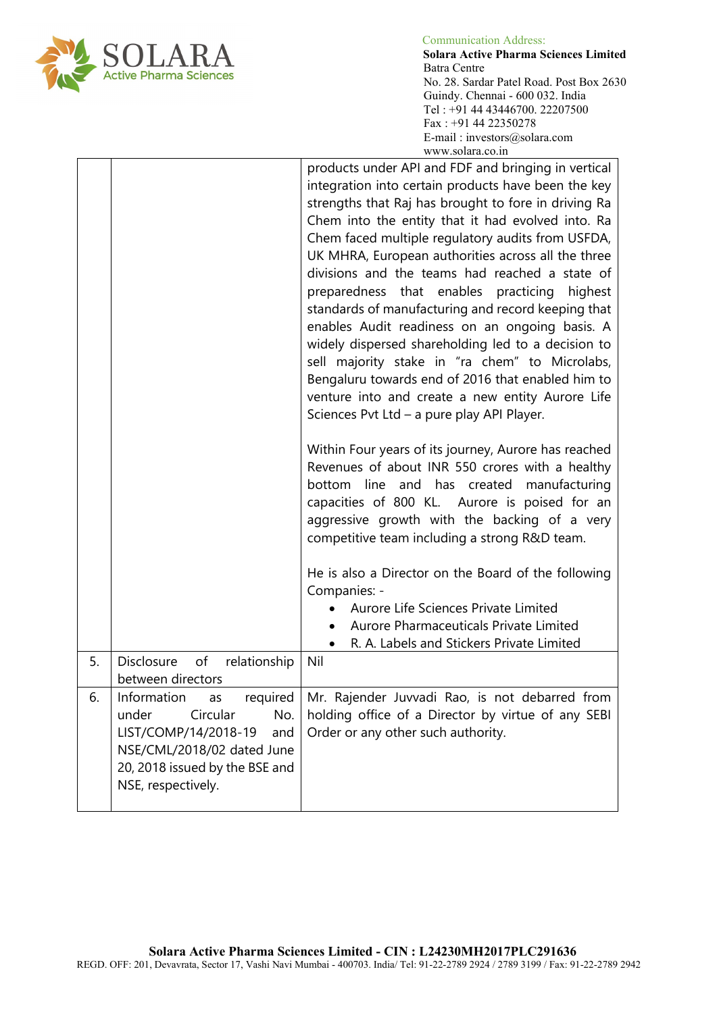

 **Solara Active Pharma Sciences Limited** No. 28. Sardar Patel Road. Post Box 2630 Guindy. Chennai - 600 032. India Tel : +91 44 43446700. 22207500 Fax : +91 44 22350278 E-mail : investors@solara.com www.solara.co.in

|    |                                                                                                                                               | products under API and FDF and bringing in vertical<br>integration into certain products have been the key<br>strengths that Raj has brought to fore in driving Ra<br>Chem into the entity that it had evolved into. Ra<br>Chem faced multiple regulatory audits from USFDA,<br>UK MHRA, European authorities across all the three<br>divisions and the teams had reached a state of<br>preparedness that enables practicing<br>highest<br>standards of manufacturing and record keeping that<br>enables Audit readiness on an ongoing basis. A<br>widely dispersed shareholding led to a decision to<br>sell majority stake in "ra chem" to Microlabs,<br>Bengaluru towards end of 2016 that enabled him to<br>venture into and create a new entity Aurore Life<br>Sciences Pvt Ltd - a pure play API Player.<br>Within Four years of its journey, Aurore has reached<br>Revenues of about INR 550 crores with a healthy<br>bottom line and has created manufacturing<br>capacities of 800 KL. Aurore is poised for an<br>aggressive growth with the backing of a very<br>competitive team including a strong R&D team.<br>He is also a Director on the Board of the following<br>Companies: -<br>Aurore Life Sciences Private Limited |
|----|-----------------------------------------------------------------------------------------------------------------------------------------------|-----------------------------------------------------------------------------------------------------------------------------------------------------------------------------------------------------------------------------------------------------------------------------------------------------------------------------------------------------------------------------------------------------------------------------------------------------------------------------------------------------------------------------------------------------------------------------------------------------------------------------------------------------------------------------------------------------------------------------------------------------------------------------------------------------------------------------------------------------------------------------------------------------------------------------------------------------------------------------------------------------------------------------------------------------------------------------------------------------------------------------------------------------------------------------------------------------------------------------------------|
|    |                                                                                                                                               | Aurore Pharmaceuticals Private Limited<br>R. A. Labels and Stickers Private Limited<br>$\bullet$                                                                                                                                                                                                                                                                                                                                                                                                                                                                                                                                                                                                                                                                                                                                                                                                                                                                                                                                                                                                                                                                                                                                        |
| 5. | Disclosure<br>of<br>relationship<br>between directors                                                                                         | Nil                                                                                                                                                                                                                                                                                                                                                                                                                                                                                                                                                                                                                                                                                                                                                                                                                                                                                                                                                                                                                                                                                                                                                                                                                                     |
| 6. | under<br>Circular<br>No.<br>LIST/COMP/14/2018-19<br>and<br>NSE/CML/2018/02 dated June<br>20, 2018 issued by the BSE and<br>NSE, respectively. | Information as required   Mr. Rajender Juvvadi Rao, is not debarred from<br>holding office of a Director by virtue of any SEBI<br>Order or any other such authority.                                                                                                                                                                                                                                                                                                                                                                                                                                                                                                                                                                                                                                                                                                                                                                                                                                                                                                                                                                                                                                                                    |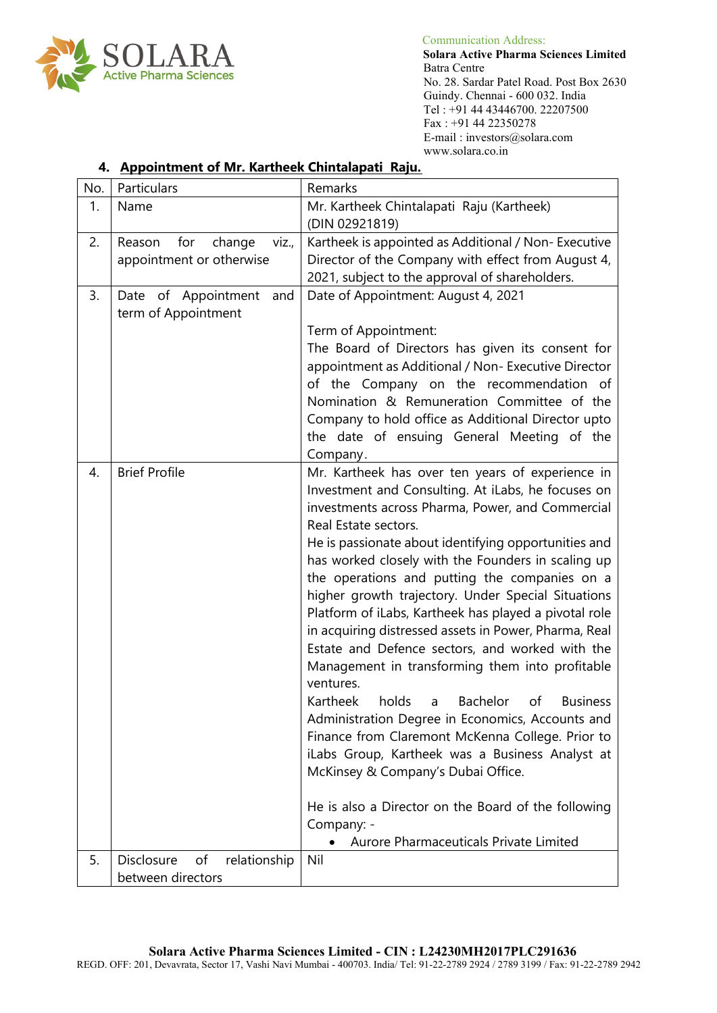

 **Solara Active Pharma Sciences Limited** Batra Centre No. 28. Sardar Patel Road. Post Box 2630 Guindy. Chennai - 600 032. India Tel : +91 44 43446700. 22207500 Fax : +91 44 22350278 E-mail : investors@solara.com www.solara.co.in

# **4. Appointment of Mr. Kartheek Chintalapati Raju.**

| No. | Particulars                      | Remarks                                                                |
|-----|----------------------------------|------------------------------------------------------------------------|
| 1.  | Name                             | Mr. Kartheek Chintalapati Raju (Kartheek)                              |
|     |                                  | (DIN 02921819)                                                         |
| 2.  | Reason<br>for<br>change<br>VIZ., | Kartheek is appointed as Additional / Non- Executive                   |
|     | appointment or otherwise         | Director of the Company with effect from August 4,                     |
|     |                                  | 2021, subject to the approval of shareholders.                         |
| 3.  | Date of Appointment and          | Date of Appointment: August 4, 2021                                    |
|     | term of Appointment              |                                                                        |
|     |                                  | Term of Appointment:                                                   |
|     |                                  | The Board of Directors has given its consent for                       |
|     |                                  | appointment as Additional / Non- Executive Director                    |
|     |                                  | of the Company on the recommendation of                                |
|     |                                  | Nomination & Remuneration Committee of the                             |
|     |                                  | Company to hold office as Additional Director upto                     |
|     |                                  | the date of ensuing General Meeting of the                             |
|     |                                  | Company.                                                               |
| 4.  | <b>Brief Profile</b>             | Mr. Kartheek has over ten years of experience in                       |
|     |                                  | Investment and Consulting. At iLabs, he focuses on                     |
|     |                                  | investments across Pharma, Power, and Commercial                       |
|     |                                  | Real Estate sectors.                                                   |
|     |                                  | He is passionate about identifying opportunities and                   |
|     |                                  | has worked closely with the Founders in scaling up                     |
|     |                                  | the operations and putting the companies on a                          |
|     |                                  | higher growth trajectory. Under Special Situations                     |
|     |                                  | Platform of iLabs, Kartheek has played a pivotal role                  |
|     |                                  | in acquiring distressed assets in Power, Pharma, Real                  |
|     |                                  | Estate and Defence sectors, and worked with the                        |
|     |                                  |                                                                        |
|     |                                  | Management in transforming them into profitable<br>ventures.           |
|     |                                  | Kartheek<br>holds<br>Bachelor<br>$\mathsf{a}$<br>of<br><b>Business</b> |
|     |                                  |                                                                        |
|     |                                  | Administration Degree in Economics, Accounts and                       |
|     |                                  | Finance from Claremont McKenna College. Prior to                       |
|     |                                  | iLabs Group, Kartheek was a Business Analyst at                        |
|     |                                  | McKinsey & Company's Dubai Office.                                     |
|     |                                  |                                                                        |
|     |                                  | He is also a Director on the Board of the following                    |
|     |                                  | Company: -                                                             |
|     |                                  | Aurore Pharmaceuticals Private Limited                                 |
| 5.  | Disclosure<br>of<br>relationship | Nil                                                                    |
|     | between directors                |                                                                        |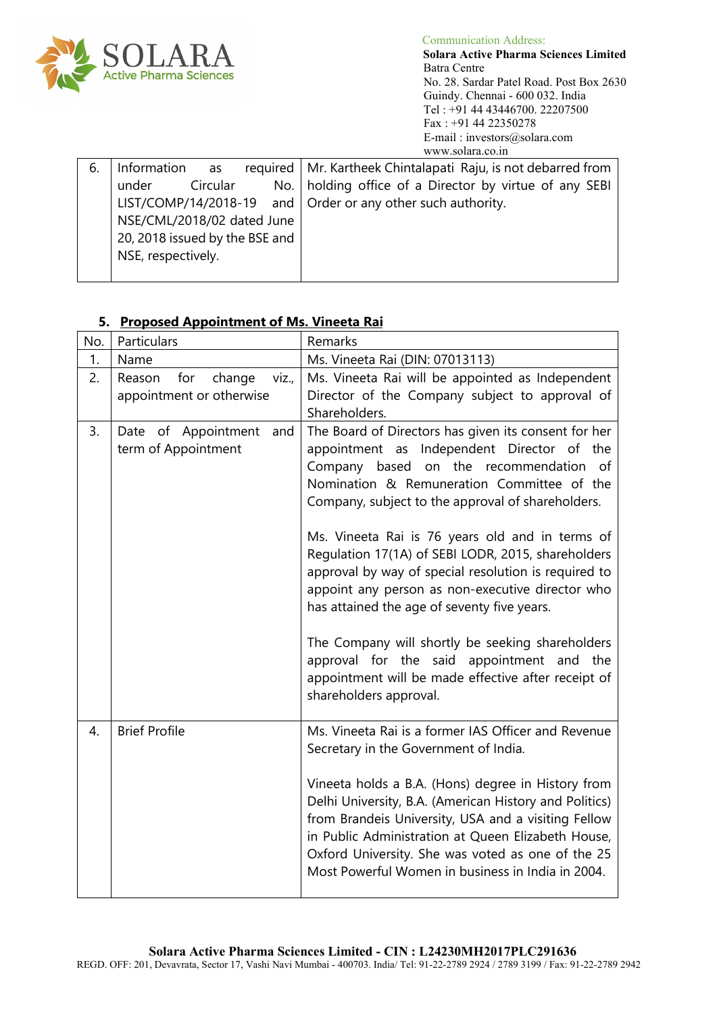

 Communication Address: **Solara Active Pharma Sciences Limited** Batra Centre No. 28. Sardar Patel Road. Post Box 2630 Guindy. Chennai - 600 032. India Tel : +91 44 43446700. 22207500 Fax : +91 44 22350278 E-mail : investors@solara.com www.solara.co.in

| 6. | Information as                 | required   Mr. Kartheek Chintalapati Raju, is not debarred from     |
|----|--------------------------------|---------------------------------------------------------------------|
|    | Circular<br>under              | No.   holding office of a Director by virtue of any SEBI            |
|    |                                | LIST/COMP/14/2018-19 and $\vert$ Order or any other such authority. |
|    | NSE/CML/2018/02 dated June     |                                                                     |
|    | 20, 2018 issued by the BSE and |                                                                     |
|    | NSE, respectively.             |                                                                     |
|    |                                |                                                                     |

| No.              | Particulars                                                  | Remarks                                                                                                                                                                                                                                                                                                                                                                                                                                                                                                                                                                                                                                                                                               |
|------------------|--------------------------------------------------------------|-------------------------------------------------------------------------------------------------------------------------------------------------------------------------------------------------------------------------------------------------------------------------------------------------------------------------------------------------------------------------------------------------------------------------------------------------------------------------------------------------------------------------------------------------------------------------------------------------------------------------------------------------------------------------------------------------------|
| 1.               | Name                                                         | Ms. Vineeta Rai (DIN: 07013113)                                                                                                                                                                                                                                                                                                                                                                                                                                                                                                                                                                                                                                                                       |
| 2.               | for<br>Reason<br>change<br>viz.,<br>appointment or otherwise | Ms. Vineeta Rai will be appointed as Independent<br>Director of the Company subject to approval of<br>Shareholders.                                                                                                                                                                                                                                                                                                                                                                                                                                                                                                                                                                                   |
| 3.               | Date of Appointment<br>and<br>term of Appointment            | The Board of Directors has given its consent for her<br>appointment as Independent Director of the<br>Company based on the recommendation of<br>Nomination & Remuneration Committee of the<br>Company, subject to the approval of shareholders.<br>Ms. Vineeta Rai is 76 years old and in terms of<br>Regulation 17(1A) of SEBI LODR, 2015, shareholders<br>approval by way of special resolution is required to<br>appoint any person as non-executive director who<br>has attained the age of seventy five years.<br>The Company will shortly be seeking shareholders<br>approval for the said appointment and the<br>appointment will be made effective after receipt of<br>shareholders approval. |
| $\overline{4}$ . | <b>Brief Profile</b>                                         | Ms. Vineeta Rai is a former IAS Officer and Revenue<br>Secretary in the Government of India.<br>Vineeta holds a B.A. (Hons) degree in History from<br>Delhi University, B.A. (American History and Politics)<br>from Brandeis University, USA and a visiting Fellow<br>in Public Administration at Queen Elizabeth House,<br>Oxford University. She was voted as one of the 25<br>Most Powerful Women in business in India in 2004.                                                                                                                                                                                                                                                                   |

## **5. Proposed Appointment of Ms. Vineeta Rai**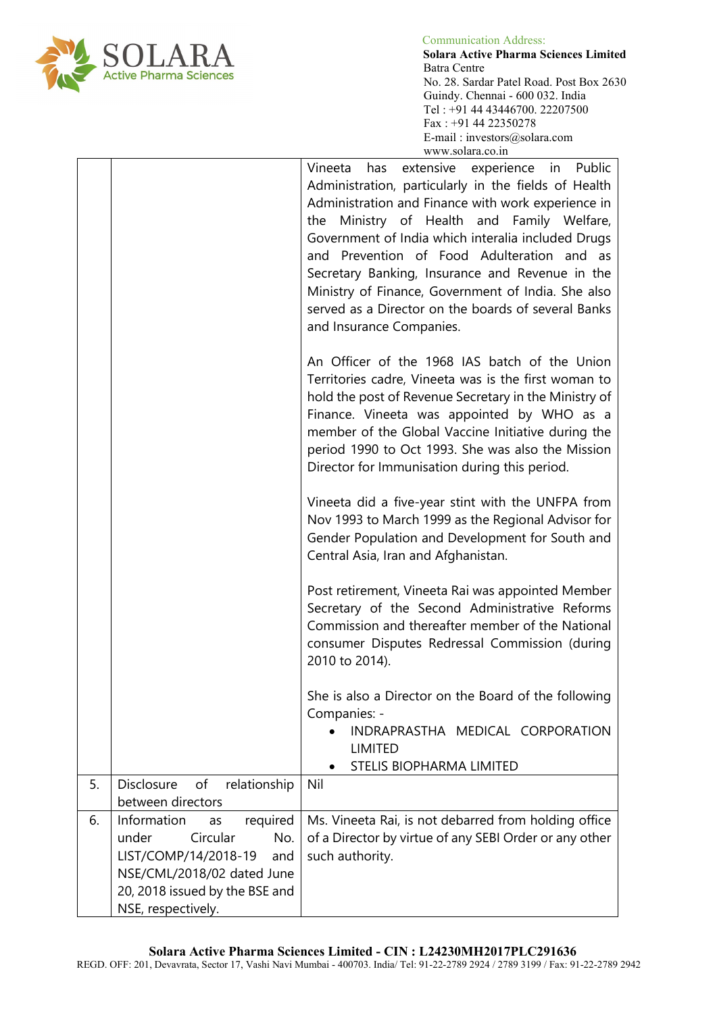

 Communication Address: **I A R A Solara Active Pharma Sciences Limited** No. 28. Sardar Patel Road. Post Box 2630 Guindy. Chennai - 600 032. India Tel : +91 44 43446700. 22207500 Fax : +91 44 22350278 E-mail : investors@solara.com www.solara.co.in

|    |                                                                                                                                                                                | Vineeta has extensive experience in Public<br>Administration, particularly in the fields of Health<br>Administration and Finance with work experience in<br>the Ministry of Health and Family Welfare,<br>Government of India which interalia included Drugs<br>and Prevention of Food Adulteration and as<br>Secretary Banking, Insurance and Revenue in the<br>Ministry of Finance, Government of India. She also<br>served as a Director on the boards of several Banks<br>and Insurance Companies. |
|----|--------------------------------------------------------------------------------------------------------------------------------------------------------------------------------|--------------------------------------------------------------------------------------------------------------------------------------------------------------------------------------------------------------------------------------------------------------------------------------------------------------------------------------------------------------------------------------------------------------------------------------------------------------------------------------------------------|
|    |                                                                                                                                                                                | An Officer of the 1968 IAS batch of the Union<br>Territories cadre, Vineeta was is the first woman to<br>hold the post of Revenue Secretary in the Ministry of<br>Finance. Vineeta was appointed by WHO as a<br>member of the Global Vaccine Initiative during the<br>period 1990 to Oct 1993. She was also the Mission<br>Director for Immunisation during this period.                                                                                                                               |
|    |                                                                                                                                                                                | Vineeta did a five-year stint with the UNFPA from<br>Nov 1993 to March 1999 as the Regional Advisor for<br>Gender Population and Development for South and<br>Central Asia, Iran and Afghanistan.                                                                                                                                                                                                                                                                                                      |
|    |                                                                                                                                                                                | Post retirement, Vineeta Rai was appointed Member<br>Secretary of the Second Administrative Reforms<br>Commission and thereafter member of the National<br>consumer Disputes Redressal Commission (during<br>2010 to 2014).                                                                                                                                                                                                                                                                            |
|    |                                                                                                                                                                                | She is also a Director on the Board of the following                                                                                                                                                                                                                                                                                                                                                                                                                                                   |
|    |                                                                                                                                                                                | Companies: -<br>INDRAPRASTHA MEDICAL CORPORATION<br><b>LIMITED</b><br>STELIS BIOPHARMA LIMITED                                                                                                                                                                                                                                                                                                                                                                                                         |
| 5. | Disclosure<br>of<br>relationship<br>between directors                                                                                                                          | Nil                                                                                                                                                                                                                                                                                                                                                                                                                                                                                                    |
| 6. | Information<br>required<br>as<br>Circular<br>No.<br>under<br>LIST/COMP/14/2018-19<br>and<br>NSE/CML/2018/02 dated June<br>20, 2018 issued by the BSE and<br>NSE, respectively. | Ms. Vineeta Rai, is not debarred from holding office<br>of a Director by virtue of any SEBI Order or any other<br>such authority.                                                                                                                                                                                                                                                                                                                                                                      |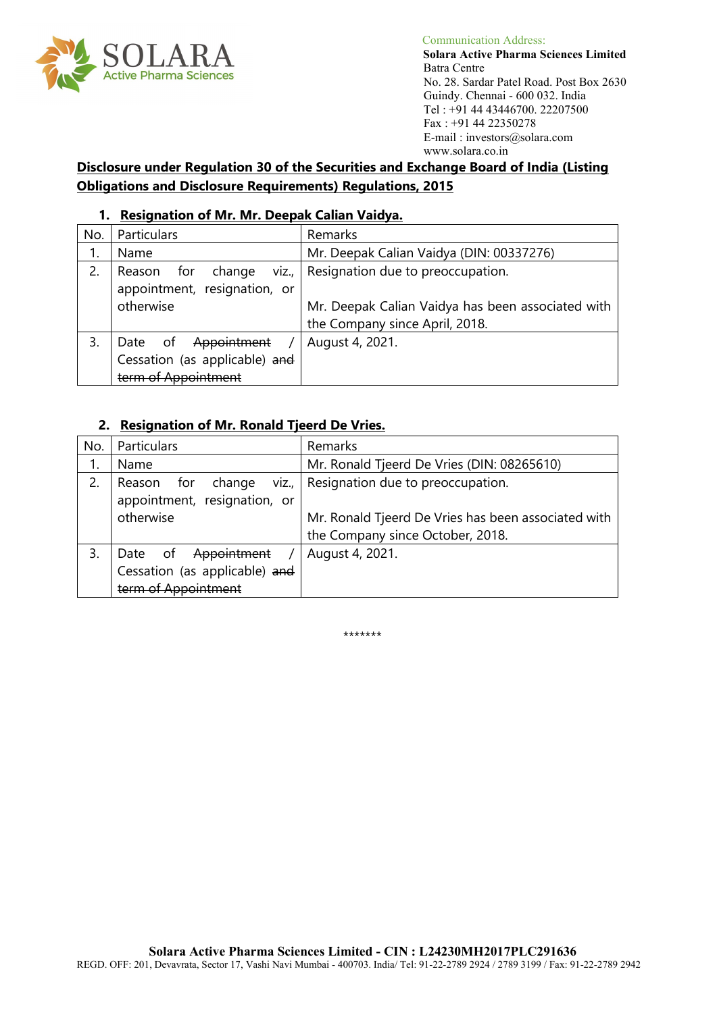

 **Solara Active Pharma Sciences Limited** No. 28. Sardar Patel Road. Post Box 2630 Guindy. Chennai - 600 032. India Tel : +91 44 43446700. 22207500 Fax : +91 44 22350278 E-mail : investors@solara.com www.solara.co.in

**Disclosure under Regulation 30 of the Securities and Exchange Board of India (Listing Obligations and Disclosure Requirements) Regulations, 2015**

### **1. Resignation of Mr. Mr. Deepak Calian Vaidya.**

| No. | Particulars                      | Remarks                                           |
|-----|----------------------------------|---------------------------------------------------|
|     | Name                             | Mr. Deepak Calian Vaidya (DIN: 00337276)          |
| 2.  | for<br>VIZ.,<br>Reason<br>change | Resignation due to preoccupation.                 |
|     | appointment, resignation, or     |                                                   |
|     | otherwise                        | Mr. Deepak Calian Vaidya has been associated with |
|     |                                  | the Company since April, 2018.                    |
| 3.  | Appointment<br>Date<br>_of       | August 4, 2021.                                   |
|     | Cessation (as applicable) and    |                                                   |
|     | term of Appointment              |                                                   |

### **2. Resignation of Mr. Ronald Tjeerd De Vries.**

| No. | Particulars                                                                       | Remarks                                                                                 |
|-----|-----------------------------------------------------------------------------------|-----------------------------------------------------------------------------------------|
|     | Name                                                                              | Mr. Ronald Tjeerd De Vries (DIN: 08265610)                                              |
| 2.  | viz.,<br>for<br>Reason<br>change<br>appointment, resignation, or                  | Resignation due to preoccupation.                                                       |
|     | otherwise                                                                         | Mr. Ronald Tjeerd De Vries has been associated with<br>the Company since October, 2018. |
| 3.  | Appointment<br>Date<br>of<br>Cessation (as applicable) and<br>term of Appointment | August 4, 2021.                                                                         |

\*\*\*\*\*\*\*